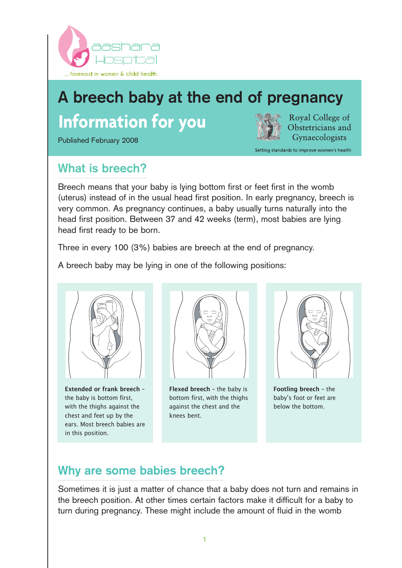

# **A breech baby at the end of pregnancy Information for you**

Published February 2008



Royal College of Obstetricians and Gynaecologists

Setting standards to improve women's health

**What is breech?**

Breech means that your baby is lying bottom first or feet first in the womb (uterus) instead of in the usual head first position. In early pregnancy, breech is very common. As pregnancy continues, a baby usually turns naturally into the head first position. Between 37 and 42 weeks (term), most babies are lying head first ready to be born.

Three in every 100 (3%) babies are breech at the end of pregnancy.

A breech baby may be lying in one of the following positions:



Extended or frank breech – the baby is bottom first, with the thighs against the chest and feet up by the ears. Most breech babies are in this position.



Flexed breech – the baby is bottom first, with the thighs against the chest and the knees bent.



Footling breech – the baby's foot or feet are below the bottom.

# **Why are some babies breech?**

Sometimes it is just a matter of chance that a baby does not turn and remains in the breech position. At other times certain factors make it difficult for a baby to turn during pregnancy. These might include the amount of fluid in the womb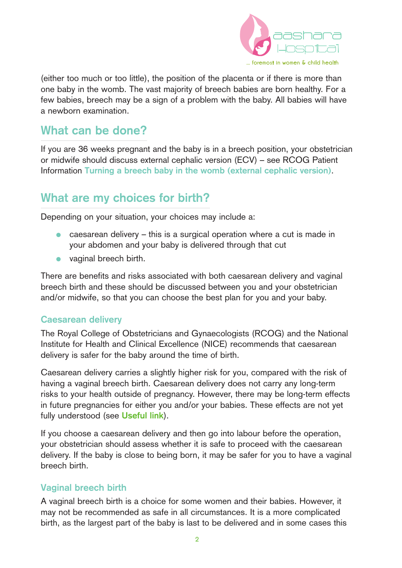

(either too much or too little), the position of the placenta or if there is more than one baby in the womb. The vast majority of breech babies are born healthy. For a few babies, breech may be a sign of a problem with the baby. All babies will have a newborn examination.

### **What can be done?**

If you are 36 weeks pregnant and the baby is in a breech position, your obstetrician or midwife should discuss external cephalic version (ECV) – see RCOG Patient Information **Turning a breech baby in the womb (external cephalic version)**.

### **What are my choices for birth?**

Depending on your situation, your choices may include a:

- caesarean delivery this is a surgical operation where a cut is made in your abdomen and your baby is delivered through that cut
- vaginal breech birth.

There are benefits and risks associated with both caesarean delivery and vaginal breech birth and these should be discussed between you and your obstetrician and/or midwife, so that you can choose the best plan for you and your baby.

#### **Caesarean delivery**

The Royal College of Obstetricians and Gynaecologists (RCOG) and the National Institute for Health and Clinical Excellence (NICE) recommends that caesarean delivery is safer for the baby around the time of birth.

Caesarean delivery carries a slightly higher risk for you, compared with the risk of having a vaginal breech birth. Caesarean delivery does not carry any long-term risks to your health outside of pregnancy. However, there may be long-term effects in future pregnancies for either you and/or your babies. These effects are not yet fully understood (see **Useful link**).

If you choose a caesarean delivery and then go into labour before the operation, your obstetrician should assess whether it is safe to proceed with the caesarean delivery. If the baby is close to being born, it may be safer for you to have a vaginal breech birth.

#### **Vaginal breech birth**

A vaginal breech birth is a choice for some women and their babies. However, it may not be recommended as safe in all circumstances. It is a more complicated birth, as the largest part of the baby is last to be delivered and in some cases this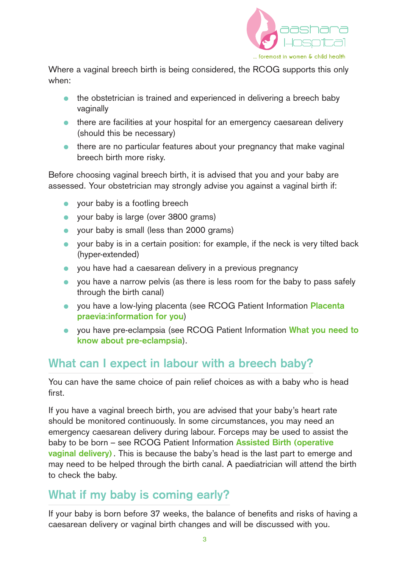

Where a vaginal breech birth is being considered, the RCOG supports this only when:

- the obstetrician is trained and experienced in delivering a breech baby vaginally
- there are facilities at your hospital for an emergency caesarean delivery (should this be necessary)
- there are no particular features about your pregnancy that make vaginal breech birth more risky.

Before choosing vaginal breech birth, it is advised that you and your baby are assessed. Your obstetrician may strongly advise you against a vaginal birth if:

- your baby is a footling breech
- your baby is large (over 3800 grams)
- your baby is small (less than 2000 grams)
- your baby is in a certain position: for example, if the neck is very tilted back (hyper-extended)
- you have had a caesarean delivery in a previous pregnancy
- you have a narrow pelvis (as there is less room for the baby to pass safely through the birth canal)
- you have a low-lying placenta (see RCOG Patient Information **Placenta praevia:information for you**)
- you have pre-eclampsia (see RCOG Patient Information **What you need to know about pre-eclampsia**).

## **What can I expect in labour with a breech baby?**

You can have the same choice of pain relief choices as with a baby who is head first.

If you have a vaginal breech birth, you are advised that your baby's heart rate should be monitored continuously. In some circumstances, you may need an emergency caesarean delivery during labour. Forceps may be used to assist the baby to be born – see RCOG Patient Information **Assisted Birth (operative vaginal delivery)** . This is because the baby's head is the last part to emerge and may need to be helped through the birth canal. A paediatrician will attend the birth to check the baby.

## **What if my baby is coming early?**

If your baby is born before 37 weeks, the balance of benefits and risks of having a caesarean delivery or vaginal birth changes and will be discussed with you.